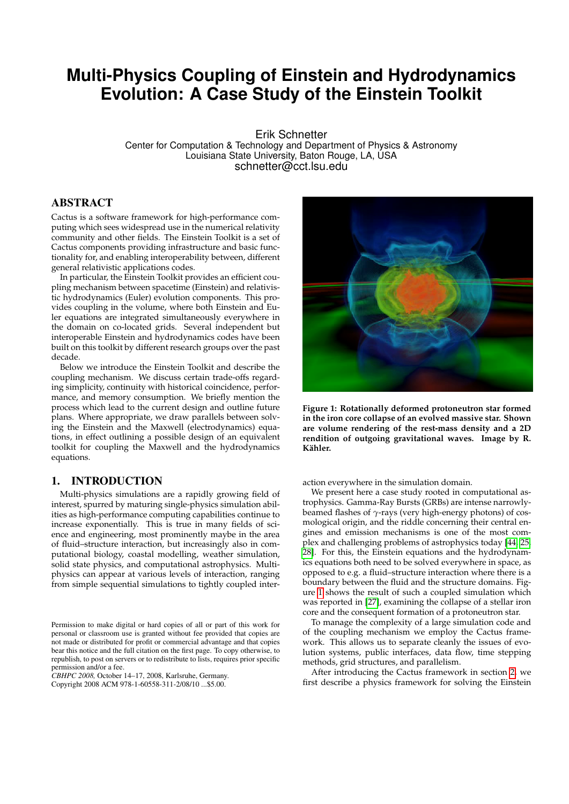# **Multi-Physics Coupling of Einstein and Hydrodynamics Evolution: A Case Study of the Einstein Toolkit**

Erik Schnetter Center for Computation & Technology and Department of Physics & Astronomy Louisiana State University, Baton Rouge, LA, USA schnetter@cct.lsu.edu

## ABSTRACT

Cactus is a software framework for high-performance computing which sees widespread use in the numerical relativity community and other fields. The Einstein Toolkit is a set of Cactus components providing infrastructure and basic functionality for, and enabling interoperability between, different general relativistic applications codes.

In particular, the Einstein Toolkit provides an efficient coupling mechanism between spacetime (Einstein) and relativistic hydrodynamics (Euler) evolution components. This provides coupling in the volume, where both Einstein and Euler equations are integrated simultaneously everywhere in the domain on co-located grids. Several independent but interoperable Einstein and hydrodynamics codes have been built on this toolkit by different research groups over the past decade.

Below we introduce the Einstein Toolkit and describe the coupling mechanism. We discuss certain trade-offs regarding simplicity, continuity with historical coincidence, performance, and memory consumption. We briefly mention the process which lead to the current design and outline future plans. Where appropriate, we draw parallels between solving the Einstein and the Maxwell (electrodynamics) equations, in effect outlining a possible design of an equivalent toolkit for coupling the Maxwell and the hydrodynamics equations.

# 1. INTRODUCTION

Multi-physics simulations are a rapidly growing field of interest, spurred by maturing single-physics simulation abilities as high-performance computing capabilities continue to increase exponentially. This is true in many fields of science and engineering, most prominently maybe in the area of fluid–structure interaction, but increasingly also in computational biology, coastal modelling, weather simulation, solid state physics, and computational astrophysics. Multiphysics can appear at various levels of interaction, ranging from simple sequential simulations to tightly coupled inter-

*CBHPC 2008,* October 14–17, 2008, Karlsruhe, Germany.

Copyright 2008 ACM 978-1-60558-311-2/08/10 ...\$5.00.

<span id="page-0-0"></span>

**Figure 1: Rotationally deformed protoneutron star formed in the iron core collapse of an evolved massive star. Shown are volume rendering of the rest-mass density and a 2D rendition of outgoing gravitational waves. Image by R. Kähler.**

action everywhere in the simulation domain.

We present here a case study rooted in computational astrophysics. Gamma-Ray Bursts (GRBs) are intense narrowlybeamed flashes of *γ*-rays (very high-energy photons) of cosmological origin, and the riddle concerning their central engines and emission mechanisms is one of the most complex and challenging problems of astrophysics today [\[44,](#page-8-0) [25,](#page-7-0) [28\]](#page-8-1). For this, the Einstein equations and the hydrodynamics equations both need to be solved everywhere in space, as opposed to e.g. a fluid–structure interaction where there is a boundary between the fluid and the structure domains. Figure [1](#page-0-0) shows the result of such a coupled simulation which was reported in [\[27\]](#page-8-2), examining the collapse of a stellar iron core and the consequent formation of a protoneutron star.

To manage the complexity of a large simulation code and of the coupling mechanism we employ the Cactus framework. This allows us to separate cleanly the issues of evolution systems, public interfaces, data flow, time stepping methods, grid structures, and parallelism.

After introducing the Cactus framework in section [2,](#page-1-0) we first describe a physics framework for solving the Einstein

Permission to make digital or hard copies of all or part of this work for personal or classroom use is granted without fee provided that copies are not made or distributed for profit or commercial advantage and that copies bear this notice and the full citation on the first page. To copy otherwise, to republish, to post on servers or to redistribute to lists, requires prior specific permission and/or a fee.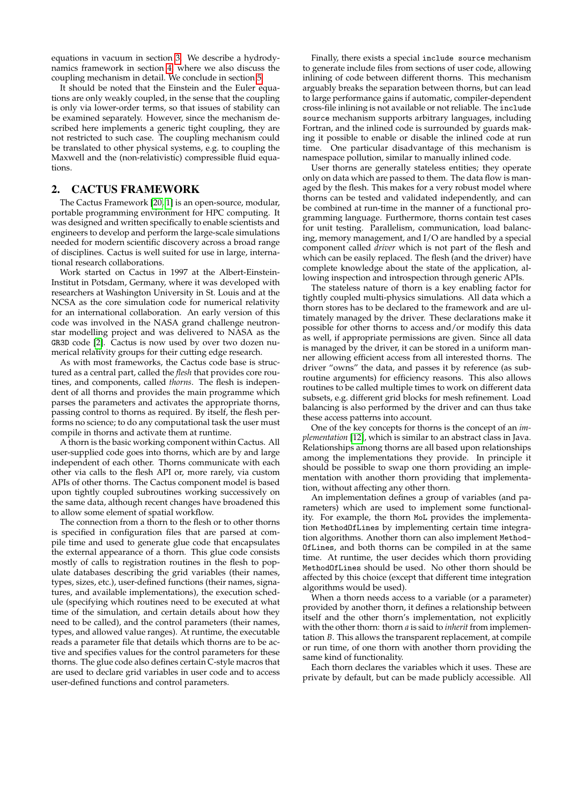equations in vacuum in section [3.](#page-2-0) We describe a hydrodynamics framework in section [4,](#page-4-0) where we also discuss the coupling mechanism in detail. We conclude in section [5.](#page-6-0)

It should be noted that the Einstein and the Euler equations are only weakly coupled, in the sense that the coupling is only via lower-order terms, so that issues of stability can be examined separately. However, since the mechanism described here implements a generic tight coupling, they are not restricted to such case. The coupling mechanism could be translated to other physical systems, e.g. to coupling the Maxwell and the (non-relativistic) compressible fluid equations.

## <span id="page-1-0"></span>2. CACTUS FRAMEWORK

The Cactus Framework [\[20,](#page-7-1) [1\]](#page-7-2) is an open-source, modular, portable programming environment for HPC computing. It was designed and written specifically to enable scientists and engineers to develop and perform the large-scale simulations needed for modern scientific discovery across a broad range of disciplines. Cactus is well suited for use in large, international research collaborations.

Work started on Cactus in 1997 at the Albert-Einstein-Institut in Potsdam, Germany, where it was developed with researchers at Washington University in St. Louis and at the NCSA as the core simulation code for numerical relativity for an international collaboration. An early version of this code was involved in the NASA grand challenge neutronstar modelling project and was delivered to NASA as the GR3D code [\[2\]](#page-7-3). Cactus is now used by over two dozen numerical relativity groups for their cutting edge research.

As with most frameworks, the Cactus code base is structured as a central part, called the *flesh* that provides core routines, and components, called *thorns*. The flesh is independent of all thorns and provides the main programme which parses the parameters and activates the appropriate thorns, passing control to thorns as required. By itself, the flesh performs no science; to do any computational task the user must compile in thorns and activate them at runtime.

A thorn is the basic working component within Cactus. All user-supplied code goes into thorns, which are by and large independent of each other. Thorns communicate with each other via calls to the flesh API or, more rarely, via custom APIs of other thorns. The Cactus component model is based upon tightly coupled subroutines working successively on the same data, although recent changes have broadened this to allow some element of spatial workflow.

The connection from a thorn to the flesh or to other thorns is specified in configuration files that are parsed at compile time and used to generate glue code that encapsulates the external appearance of a thorn. This glue code consists mostly of calls to registration routines in the flesh to populate databases describing the grid variables (their names, types, sizes, etc.), user-defined functions (their names, signatures, and available implementations), the execution schedule (specifying which routines need to be executed at what time of the simulation, and certain details about how they need to be called), and the control parameters (their names, types, and allowed value ranges). At runtime, the executable reads a parameter file that details which thorns are to be active and specifies values for the control parameters for these thorns. The glue code also defines certain C-style macros that are used to declare grid variables in user code and to access user-defined functions and control parameters.

Finally, there exists a special include source mechanism to generate include files from sections of user code, allowing inlining of code between different thorns. This mechanism arguably breaks the separation between thorns, but can lead to large performance gains if automatic, compiler-dependent cross-file inlining is not available or not reliable. The include source mechanism supports arbitrary languages, including Fortran, and the inlined code is surrounded by guards making it possible to enable or disable the inlined code at run time. One particular disadvantage of this mechanism is namespace pollution, similar to manually inlined code.

User thorns are generally stateless entities; they operate only on data which are passed to them. The data flow is managed by the flesh. This makes for a very robust model where thorns can be tested and validated independently, and can be combined at run-time in the manner of a functional programming language. Furthermore, thorns contain test cases for unit testing. Parallelism, communication, load balancing, memory management, and I/O are handled by a special component called *driver* which is not part of the flesh and which can be easily replaced. The flesh (and the driver) have complete knowledge about the state of the application, allowing inspection and introspection through generic APIs.

The stateless nature of thorn is a key enabling factor for tightly coupled multi-physics simulations. All data which a thorn stores has to be declared to the framework and are ultimately managed by the driver. These declarations make it possible for other thorns to access and/or modify this data as well, if appropriate permissions are given. Since all data is managed by the driver, it can be stored in a uniform manner allowing efficient access from all interested thorns. The driver "owns" the data, and passes it by reference (as subroutine arguments) for efficiency reasons. This also allows routines to be called multiple times to work on different data subsets, e.g. different grid blocks for mesh refinement. Load balancing is also performed by the driver and can thus take these access patterns into account.

One of the key concepts for thorns is the concept of an *implementation* [\[12\]](#page-7-4), which is similar to an abstract class in Java. Relationships among thorns are all based upon relationships among the implementations they provide. In principle it should be possible to swap one thorn providing an implementation with another thorn providing that implementation, without affecting any other thorn.

An implementation defines a group of variables (and parameters) which are used to implement some functionality. For example, the thorn MoL provides the implementation MethodOfLines by implementing certain time integration algorithms. Another thorn can also implement Method-OfLines, and both thorns can be compiled in at the same time. At runtime, the user decides which thorn providing MethodOfLines should be used. No other thorn should be affected by this choice (except that different time integration algorithms would be used).

When a thorn needs access to a variable (or a parameter) provided by another thorn, it defines a relationship between itself and the other thorn's implementation, not explicitly with the other thorn: thorn *a* is said to *inherit* from implementation *B*. This allows the transparent replacement, at compile or run time, of one thorn with another thorn providing the same kind of functionality.

Each thorn declares the variables which it uses. These are private by default, but can be made publicly accessible. All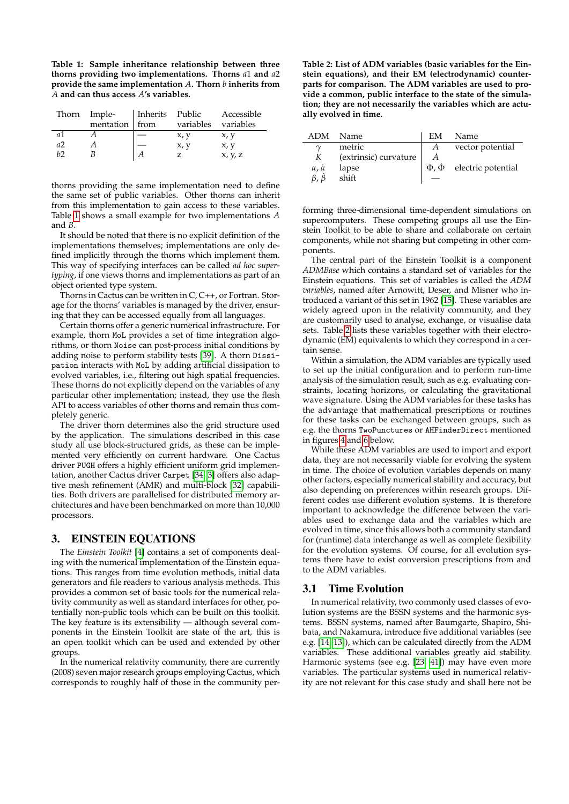<span id="page-2-1"></span>**Table 1: Sample inheritance relationship between three thorns providing two implementations. Thorns** *a*1 **and** *a*2 **provide the same implementation** *A***. Thorn** *b* **inherits from** *A* **and can thus access** *A***'s variables.**

| Thorn | Imple-    | Inherits Public |           | Accessible |
|-------|-----------|-----------------|-----------|------------|
|       | mentation | from            | variables | variables  |
| a1    |           |                 | x, y      | x, y       |
| a2    |           |                 | x, y      | x, y       |
| h     |           | А               |           | x, y, z    |

thorns providing the same implementation need to define the same set of public variables. Other thorns can inherit from this implementation to gain access to these variables. Table [1](#page-2-1) shows a small example for two implementations *A* and *B*.

It should be noted that there is no explicit definition of the implementations themselves; implementations are only defined implicitly through the thorns which implement them. This way of specifying interfaces can be called *ad hoc supertyping*, if one views thorns and implementations as part of an object oriented type system.

Thorns in Cactus can be written in C, C++, or Fortran. Storage for the thorns' variables is managed by the driver, ensuring that they can be accessed equally from all languages.

Certain thorns offer a generic numerical infrastructure. For example, thorn MoL provides a set of time integration algorithms, or thorn Noise can post-process initial conditions by adding noise to perform stability tests [\[39\]](#page-8-3). A thorn Dissipation interacts with MoL by adding artificial dissipation to evolved variables, i.e., filtering out high spatial frequencies. These thorns do not explicitly depend on the variables of any particular other implementation; instead, they use the flesh API to access variables of other thorns and remain thus completely generic.

The driver thorn determines also the grid structure used by the application. The simulations described in this case study all use block-structured grids, as these can be implemented very efficiently on current hardware. One Cactus driver PUGH offers a highly efficient uniform grid implementation, another Cactus driver Carpet [\[34,](#page-8-4) [3\]](#page-7-5) offers also adaptive mesh refinement (AMR) and multi-block [\[32\]](#page-8-5) capabilities. Both drivers are parallelised for distributed memory architectures and have been benchmarked on more than 10,000 processors.

## <span id="page-2-0"></span>3. EINSTEIN EQUATIONS

The *Einstein Toolkit* [\[4\]](#page-7-6) contains a set of components dealing with the numerical implementation of the Einstein equations. This ranges from time evolution methods, initial data generators and file readers to various analysis methods. This provides a common set of basic tools for the numerical relativity community as well as standard interfaces for other, potentially non-public tools which can be built on this toolkit. The key feature is its extensibility — although several components in the Einstein Toolkit are state of the art, this is an open toolkit which can be used and extended by other groups.

In the numerical relativity community, there are currently (2008) seven major research groups employing Cactus, which corresponds to roughly half of those in the community per<span id="page-2-2"></span>**Table 2: List of ADM variables (basic variables for the Einstein equations), and their EM (electrodynamic) counterparts for comparison. The ADM variables are used to provide a common, public interface to the state of the simulation; they are not necessarily the variables which are actually evolved in time.**

| ADM                       | Name                  | EM               | Name                                     |
|---------------------------|-----------------------|------------------|------------------------------------------|
| $\gamma$                  | metric                | $\boldsymbol{A}$ | vector potential                         |
| K                         | (extrinsic) curvature |                  |                                          |
| $\alpha$ , $\dot{\alpha}$ | lapse                 |                  | $\Phi$ , $\dot{\Phi}$ electric potential |
| $\beta$ , $\dot{\beta}$   | shift                 |                  |                                          |

forming three-dimensional time-dependent simulations on supercomputers. These competing groups all use the Einstein Toolkit to be able to share and collaborate on certain components, while not sharing but competing in other components.

The central part of the Einstein Toolkit is a component *ADMBase* which contains a standard set of variables for the Einstein equations. This set of variables is called the *ADM variables*, named after Arnowitt, Deser, and Misner who introduced a variant of this set in 1962 [\[15\]](#page-7-7). These variables are widely agreed upon in the relativity community, and they are customarily used to analyse, exchange, or visualise data sets. Table [2](#page-2-2) lists these variables together with their electrodynamic (EM) equivalents to which they correspond in a certain sense.

Within a simulation, the ADM variables are typically used to set up the initial configuration and to perform run-time analysis of the simulation result, such as e.g. evaluating constraints, locating horizons, or calculating the gravitational wave signature. Using the ADM variables for these tasks has the advantage that mathematical prescriptions or routines for these tasks can be exchanged between groups, such as e.g. the thorns TwoPunctures or AHFinderDirect mentioned in figures [4](#page-4-1) and [6](#page-6-1) below.

While these ADM variables are used to import and export data, they are not necessarily viable for evolving the system in time. The choice of evolution variables depends on many other factors, especially numerical stability and accuracy, but also depending on preferences within research groups. Different codes use different evolution systems. It is therefore important to acknowledge the difference between the variables used to exchange data and the variables which are evolved in time, since this allows both a community standard for (runtime) data interchange as well as complete flexibility for the evolution systems. Of course, for all evolution systems there have to exist conversion prescriptions from and to the ADM variables.

## 3.1 Time Evolution

In numerical relativity, two commonly used classes of evolution systems are the BSSN systems and the harmonic systems. BSSN systems, named after Baumgarte, Shapiro, Shibata, and Nakamura, introduce five additional variables (see e.g. [\[14,](#page-7-8) [13\]](#page-7-9)), which can be calculated directly from the ADM variables. These additional variables greatly aid stability. Harmonic systems (see e.g. [\[23,](#page-7-10) [41\]](#page-8-6)) may have even more variables. The particular systems used in numerical relativity are not relevant for this case study and shall here not be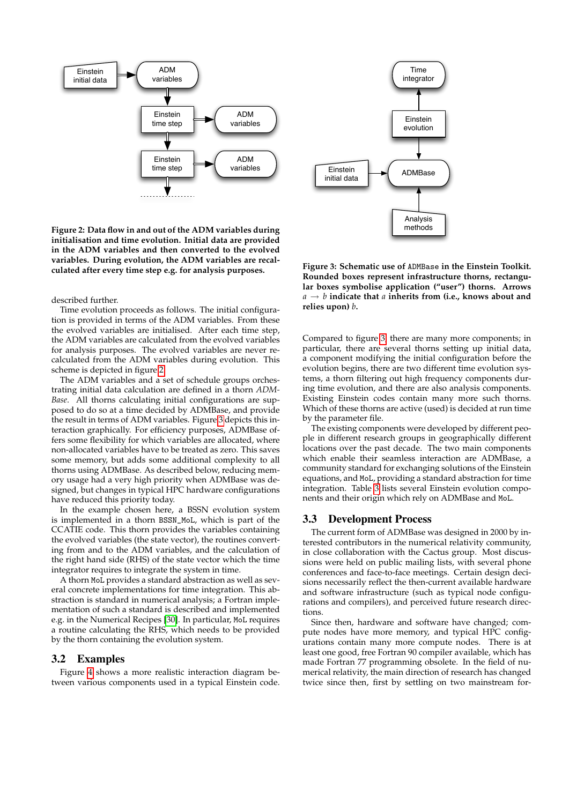<span id="page-3-0"></span>

**Figure 2: Data flow in and out of the ADM variables during initialisation and time evolution. Initial data are provided in the ADM variables and then converted to the evolved variables. During evolution, the ADM variables are recalculated after every time step e.g. for analysis purposes.**

#### described further.

Time evolution proceeds as follows. The initial configuration is provided in terms of the ADM variables. From these the evolved variables are initialised. After each time step, the ADM variables are calculated from the evolved variables for analysis purposes. The evolved variables are never recalculated from the ADM variables during evolution. This scheme is depicted in figure [2.](#page-3-0)

The ADM variables and a set of schedule groups orchestrating initial data calculation are defined in a thorn *ADM-Base*. All thorns calculating initial configurations are supposed to do so at a time decided by ADMBase, and provide the result in terms of ADM variables. Figure [3](#page-3-1) depicts this interaction graphically. For efficiency purposes, ADMBase offers some flexibility for which variables are allocated, where non-allocated variables have to be treated as zero. This saves some memory, but adds some additional complexity to all thorns using ADMBase. As described below, reducing memory usage had a very high priority when ADMBase was designed, but changes in typical HPC hardware configurations have reduced this priority today. The control of the ADM variables during the components used in a two-state of the ADM variables during the components used in a typical Einstein components used on the state of the animal control of the animal control of t

In the example chosen here, a BSSN evolution system is implemented in a thorn BSSN\_MoL, which is part of the CCATIE code. This thorn provides the variables containing the evolved variables (the state vector), the routines converting from and to the ADM variables, and the calculation of the right hand side (RHS) of the state vector which the time integrator requires to integrate the system in time.

A thorn MoL provides a standard abstraction as well as several concrete implementations for time integration. This abstraction is standard in numerical analysis; a Fortran implementation of such a standard is described and implemented e.g. in the Numerical Recipes [\[30\]](#page-8-7). In particular, MoL requires a routine calculating the RHS, which needs to be provided by the thorn containing the evolution system.

#### 3.2 Examples

Figure [4](#page-4-1) shows a more realistic interaction diagram be-

<span id="page-3-1"></span>

**Figure 3: Schematic use of** ADMBase **in the Einstein Toolkit. Rounded boxes represent infrastructure thorns, rectangular boxes symbolise application ("user") thorns. Arrows** *a* → *b* **indicate that** *a* **inherits from (i.e., knows about and relies upon)** *b***.**

Compared to figure [3,](#page-3-1) there are many more components; in particular, there are several thorns setting up initial data, a component modifying the initial configuration before the evolution begins, there are two different time evolution systems, a thorn filtering out high frequency components during time evolution, and there are also analysis components. Existing Einstein codes contain many more such thorns. Which of these thorns are active (used) is decided at run time by the parameter file.

The existing components were developed by different people in different research groups in geographically different locations over the past decade. The two main components which enable their seamless interaction are ADMBase, a community standard for exchanging solutions of the Einstein equations, and MoL, providing a standard abstraction for time integration. Table [3](#page-4-2) lists several Einstein evolution components and their origin which rely on ADMBase and MoL.

#### 3.3 Development Process

The current form of ADMBase was designed in 2000 by interested contributors in the numerical relativity community, in close collaboration with the Cactus group. Most discussions were held on public mailing lists, with several phone conferences and face-to-face meetings. Certain design decisions necessarily reflect the then-current available hardware and software infrastructure (such as typical node configurations and compilers), and perceived future research directions.

Since then, hardware and software have changed; compute nodes have more memory, and typical HPC configurations contain many more compute nodes. There is at least one good, free Fortran 90 compiler available, which has made Fortran 77 programming obsolete. In the field of numerical relativity, the main direction of research has changed twice since then, first by settling on two mainstream for-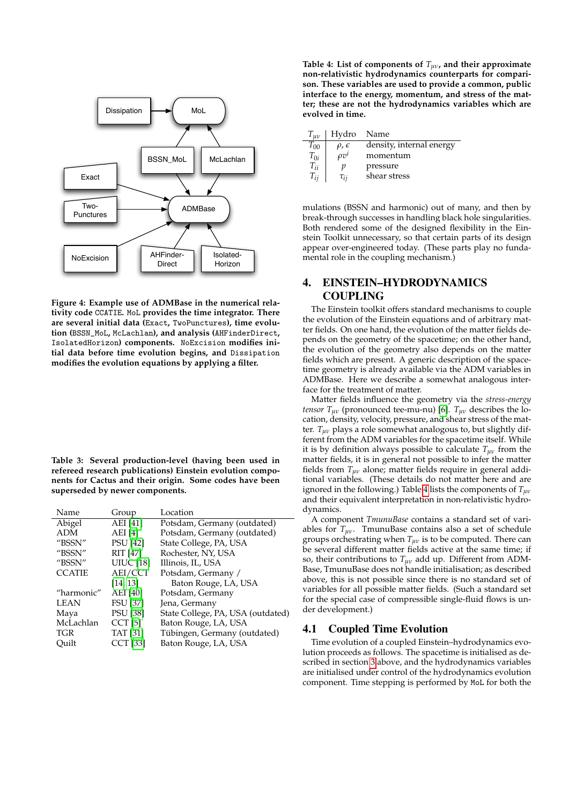<span id="page-4-1"></span>

**Figure 4: Example use of ADMBase in the numerical relativity code** CCATIE**.** MoL **provides the time integrator. There are several initial data (**Exact**,** TwoPunctures**), time evolution (**BSSN\_MoL**,** McLachlan**), and analysis (**AHFinderDirect**,** IsolatedHorizon**) components.** NoExcision **modifies initial data before time evolution begins, and** Dissipation **modifies the evolution equations by applying a filter.**

<span id="page-4-2"></span>**Table 3: Several production-level (having been used in refereed research publications) Einstein evolution components for Cactus and their origin. Some codes have been superseded by newer components.**

| Name          | Group            | Location                          |
|---------------|------------------|-----------------------------------|
| Abigel        | <b>AEI</b> [41]  | Potsdam, Germany (outdated)       |
| ADM           | AEI [4]          | Potsdam, Germany (outdated)       |
| "BSSN"        | <b>PSU</b> [42]  | State College, PA, USA            |
| "BSSN"        | <b>RIT [47]</b>  | Rochester, NY, USA                |
| "BSSN"        | <b>UIUC</b> [18] | Illinois, IL, USA                 |
| <b>CCATIE</b> | AEI/CCT          | Potsdam, Germany /                |
|               | [14, 13]         | Baton Rouge, LA, USA              |
| "harmonic"    | AEI [40]         | Potsdam, Germany                  |
| LEAN          | <b>FSU</b> [37]  | Jena, Germany                     |
| Maya          | <b>PSU</b> [38]  | State College, PA, USA (outdated) |
| McLachlan     | $CCT$ [5]        | Baton Rouge, LA, USA              |
| TGR           | <b>TAT</b> [31]  | Tübingen, Germany (outdated)      |
| Ouilt         | <b>CCT</b> [33]  | Baton Rouge, LA, USA              |

<span id="page-4-3"></span>**Table 4: List of components of** *Tµν***, and their approximate non-relativistic hydrodynamics counterparts for comparison. These variables are used to provide a common, public interface to the energy, momentum, and stress of the matter; these are not the hydrodynamics variables which are evolved in time.**

| $I_{uv}$ | Hydro               | Name                     |
|----------|---------------------|--------------------------|
| $T_{00}$ | $\rho$ , $\epsilon$ | density, internal energy |
| $T_{0i}$ | $\rho v^i$          | momentum                 |
| $T_{ii}$ | n                   | pressure                 |
| $T_{ii}$ | $\tau_{ii}$         | shear stress             |

mulations (BSSN and harmonic) out of many, and then by break-through successes in handling black hole singularities. Both rendered some of the designed flexibility in the Einstein Toolkit unnecessary, so that certain parts of its design appear over-engineered today. (These parts play no fundamental role in the coupling mechanism.)

# <span id="page-4-0"></span>4. EINSTEIN–HYDRODYNAMICS COUPLING

The Einstein toolkit offers standard mechanisms to couple the evolution of the Einstein equations and of arbitrary matter fields. On one hand, the evolution of the matter fields depends on the geometry of the spacetime; on the other hand, the evolution of the geometry also depends on the matter fields which are present. A generic description of the spacetime geometry is already available via the ADM variables in ADMBase. Here we describe a somewhat analogous interface for the treatment of matter.

Matter fields influence the geometry via the *stress-energy tensor*  $T_{\mu\nu}$  (pronounced tee-mu-nu) [\[6\]](#page-7-13).  $T_{\mu\nu}$  describes the location, density, velocity, pressure, and shear stress of the matter. *Tµν* plays a role somewhat analogous to, but slightly different from the ADM variables for the spacetime itself. While it is by definition always possible to calculate *Tµν* from the matter fields, it is in general not possible to infer the matter fields from  $T_{\mu\nu}$  alone; matter fields require in general additional variables. (These details do not matter here and are ignored in the following.) Table [4](#page-4-3) lists the components of *Tµν* and their equivalent interpretation in non-relativistic hydrodynamics.

A component *TmunuBase* contains a standard set of variables for  $T_{\mu\nu}$ . TmunuBase contains also a set of schedule groups orchestrating when *Tµν* is to be computed. There can be several different matter fields active at the same time; if so, their contributions to *Tµν* add up. Different from ADM-Base, TmunuBase does not handle initialisation; as described above, this is not possible since there is no standard set of variables for all possible matter fields. (Such a standard set for the special case of compressible single-fluid flows is under development.)

## 4.1 Coupled Time Evolution

Time evolution of a coupled Einstein–hydrodynamics evolution proceeds as follows. The spacetime is initialised as described in section [3](#page-2-0) above, and the hydrodynamics variables are initialised under control of the hydrodynamics evolution component. Time stepping is performed by MoL for both the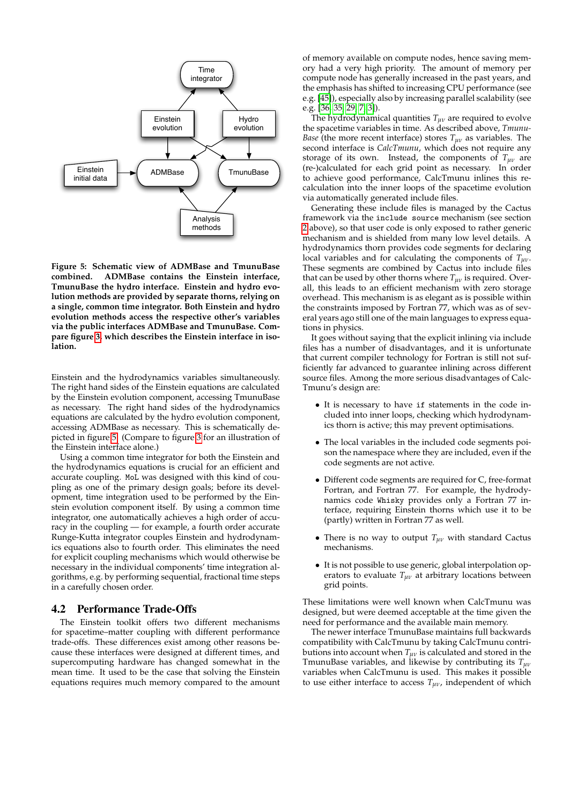<span id="page-5-0"></span>

**Figure 5: Schematic view of ADMBase and TmunuBase combined. ADMBase contains the Einstein interface, TmunuBase the hydro interface. Einstein and hydro evolution methods are provided by separate thorns, relying on a single, common time integrator. Both Einstein and hydro evolution methods access the respective other's variables via the public interfaces ADMBase and TmunuBase. Compare figure [3,](#page-3-1) which describes the Einstein interface in isolation.**

Einstein and the hydrodynamics variables simultaneously. The right hand sides of the Einstein equations are calculated by the Einstein evolution component, accessing TmunuBase as necessary. The right hand sides of the hydrodynamics equations are calculated by the hydro evolution component, accessing ADMBase as necessary. This is schematically depicted in figure [5.](#page-5-0) (Compare to figure [3](#page-3-1) for an illustration of the Einstein interface alone.)

Using a common time integrator for both the Einstein and the hydrodynamics equations is crucial for an efficient and accurate coupling. MoL was designed with this kind of coupling as one of the primary design goals; before its development, time integration used to be performed by the Einstein evolution component itself. By using a common time integrator, one automatically achieves a high order of accuracy in the coupling — for example, a fourth order accurate Runge-Kutta integrator couples Einstein and hydrodynamics equations also to fourth order. This eliminates the need for explicit coupling mechanisms which would otherwise be necessary in the individual components' time integration algorithms, e.g. by performing sequential, fractional time steps in a carefully chosen order.

### 4.2 Performance Trade-Offs

The Einstein toolkit offers two different mechanisms for spacetime–matter coupling with different performance trade-offs. These differences exist among other reasons because these interfaces were designed at different times, and supercomputing hardware has changed somewhat in the mean time. It used to be the case that solving the Einstein equations requires much memory compared to the amount

of memory available on compute nodes, hence saving memory had a very high priority. The amount of memory per compute node has generally increased in the past years, and the emphasis has shifted to increasing CPU performance (see e.g. [\[45\]](#page-8-15)), especially also by increasing parallel scalability (see e.g. [\[36,](#page-8-16) [35,](#page-8-17) [29,](#page-8-18) [7,](#page-7-14) [3\]](#page-7-5)).

The hydrodynamical quantities *Tµν* are required to evolve the spacetime variables in time. As described above, *Tmunu-Base* (the more recent interface) stores  $T_{\mu\nu}$  as variables. The second interface is *CalcTmunu*, which does not require any storage of its own. Instead, the components of *Tµν* are (re-)calculated for each grid point as necessary. In order to achieve good performance, CalcTmunu inlines this recalculation into the inner loops of the spacetime evolution via automatically generated include files.

Generating these include files is managed by the Cactus framework via the include source mechanism (see section [2](#page-1-0) above), so that user code is only exposed to rather generic mechanism and is shielded from many low level details. A hydrodynamics thorn provides code segments for declaring local variables and for calculating the components of *Tµν*. These segments are combined by Cactus into include files that can be used by other thorns where *Tµν* is required. Overall, this leads to an efficient mechanism with zero storage overhead. This mechanism is as elegant as is possible within the constraints imposed by Fortran 77, which was as of several years ago still one of the main languages to express equations in physics.

It goes without saying that the explicit inlining via include files has a number of disadvantages, and it is unfortunate that current compiler technology for Fortran is still not sufficiently far advanced to guarantee inlining across different source files. Among the more serious disadvantages of Calc-Tmunu's design are:

- It is necessary to have if statements in the code included into inner loops, checking which hydrodynamics thorn is active; this may prevent optimisations.
- The local variables in the included code segments poison the namespace where they are included, even if the code segments are not active.
- Different code segments are required for C, free-format Fortran, and Fortran 77. For example, the hydrodynamics code Whisky provides only a Fortran 77 interface, requiring Einstein thorns which use it to be (partly) written in Fortran 77 as well.
- There is no way to output *Tµν* with standard Cactus mechanisms.
- It is not possible to use generic, global interpolation operators to evaluate  $T_{\mu\nu}$  at arbitrary locations between grid points.

These limitations were well known when CalcTmunu was designed, but were deemed acceptable at the time given the need for performance and the available main memory.

The newer interface TmunuBase maintains full backwards compatibility with CalcTmunu by taking CalcTmunu contributions into account when  $T_{\mu\nu}$  is calculated and stored in the TmunuBase variables, and likewise by contributing its *Tµν* variables when CalcTmunu is used. This makes it possible to use either interface to access *Tµν*, independent of which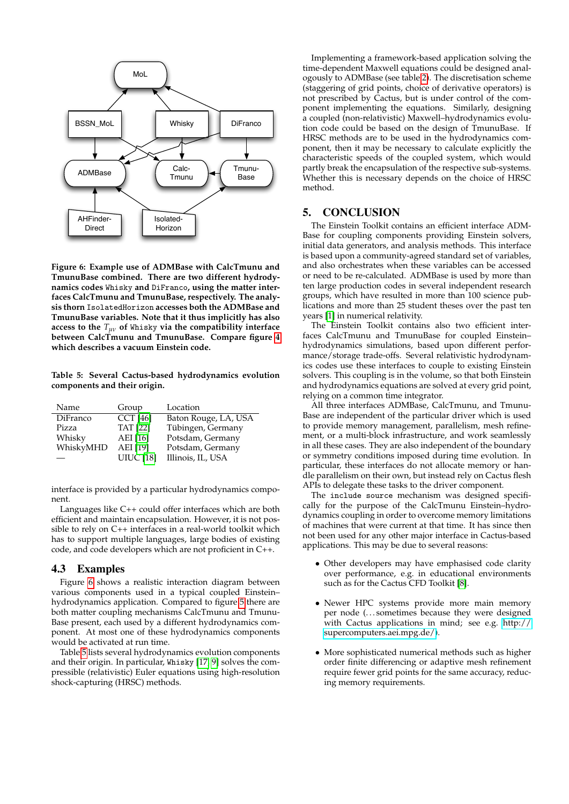<span id="page-6-1"></span>

**Figure 6: Example use of ADMBase with CalcTmunu and TmunuBase combined. There are two different hydrodynamics codes** Whisky **and** DiFranco**, using the matter interfaces CalcTmunu and TmunuBase, respectively. The analysis thorn** IsolatedHorizon **accesses both the ADMBase and TmunuBase variables. Note that it thus implicitly has also access to the** *Tµν* **of** Whisky **via the compatibility interface between CalcTmunu and TmunuBase. Compare figure [4](#page-4-1) which describes a vacuum Einstein code.**

<span id="page-6-2"></span>**Table 5: Several Cactus-based hydrodynamics evolution components and their origin.**

| Name      | Group            | Location             |
|-----------|------------------|----------------------|
| DiFranco  | <b>CCT</b> [46]  | Baton Rouge, LA, USA |
| Pizza     | <b>TAT</b> [22]  | Tübingen, Germany    |
| Whisky    | AEI [16]         | Potsdam, Germany     |
| WhiskyMHD | AEI [19]         | Potsdam, Germany     |
|           | <b>UIUC</b> [18] | Illinois, IL, USA    |

interface is provided by a particular hydrodynamics component.

Languages like C++ could offer interfaces which are both efficient and maintain encapsulation. However, it is not possible to rely on C++ interfaces in a real-world toolkit which has to support multiple languages, large bodies of existing code, and code developers which are not proficient in C++.

## 4.3 Examples

Figure [6](#page-6-1) shows a realistic interaction diagram between various components used in a typical coupled Einstein– hydrodynamics application. Compared to figure [5](#page-5-0) there are both matter coupling mechanisms CalcTmunu and Tmunu-Base present, each used by a different hydrodynamics component. At most one of these hydrodynamics components would be activated at run time.

Table [5](#page-6-2) lists several hydrodynamics evolution components and their origin. In particular, Whisky [\[17,](#page-7-18) [9\]](#page-7-19) solves the compressible (relativistic) Euler equations using high-resolution shock-capturing (HRSC) methods.

Implementing a framework-based application solving the time-dependent Maxwell equations could be designed analogously to ADMBase (see table [2\)](#page-2-2). The discretisation scheme (staggering of grid points, choice of derivative operators) is not prescribed by Cactus, but is under control of the component implementing the equations. Similarly, designing a coupled (non-relativistic) Maxwell–hydrodynamics evolution code could be based on the design of TmunuBase. If HRSC methods are to be used in the hydrodynamics component, then it may be necessary to calculate explicitly the characteristic speeds of the coupled system, which would partly break the encapsulation of the respective sub-systems. Whether this is necessary depends on the choice of HRSC method.

## <span id="page-6-0"></span>5. CONCLUSION

The Einstein Toolkit contains an efficient interface ADM-Base for coupling components providing Einstein solvers, initial data generators, and analysis methods. This interface is based upon a community-agreed standard set of variables, and also orchestrates when these variables can be accessed or need to be re-calculated. ADMBase is used by more than ten large production codes in several independent research groups, which have resulted in more than 100 science publications and more than 25 student theses over the past ten years [\[1\]](#page-7-2) in numerical relativity.

The Einstein Toolkit contains also two efficient interfaces CalcTmunu and TmunuBase for coupled Einstein– hydrodynamics simulations, based upon different performance/storage trade-offs. Several relativistic hydrodynamics codes use these interfaces to couple to existing Einstein solvers. This coupling is in the volume, so that both Einstein and hydrodynamics equations are solved at every grid point, relying on a common time integrator.

All three interfaces ADMBase, CalcTmunu, and Tmunu-Base are independent of the particular driver which is used to provide memory management, parallelism, mesh refinement, or a multi-block infrastructure, and work seamlessly in all these cases. They are also independent of the boundary or symmetry conditions imposed during time evolution. In particular, these interfaces do not allocate memory or handle parallelism on their own, but instead rely on Cactus flesh APIs to delegate these tasks to the driver component.

The include source mechanism was designed specifically for the purpose of the CalcTmunu Einstein–hydrodynamics coupling in order to overcome memory limitations of machines that were current at that time. It has since then not been used for any other major interface in Cactus-based applications. This may be due to several reasons:

- Other developers may have emphasised code clarity over performance, e.g. in educational environments such as for the Cactus CFD Toolkit [\[8\]](#page-7-20).
- Newer HPC systems provide more main memory per node (. . . sometimes because they were designed with Cactus applications in mind; see e.g. [http://](http://supercomputers.aei.mpg.de/) [supercomputers.aei.mpg.de/\)](http://supercomputers.aei.mpg.de/).
- More sophisticated numerical methods such as higher order finite differencing or adaptive mesh refinement require fewer grid points for the same accuracy, reducing memory requirements.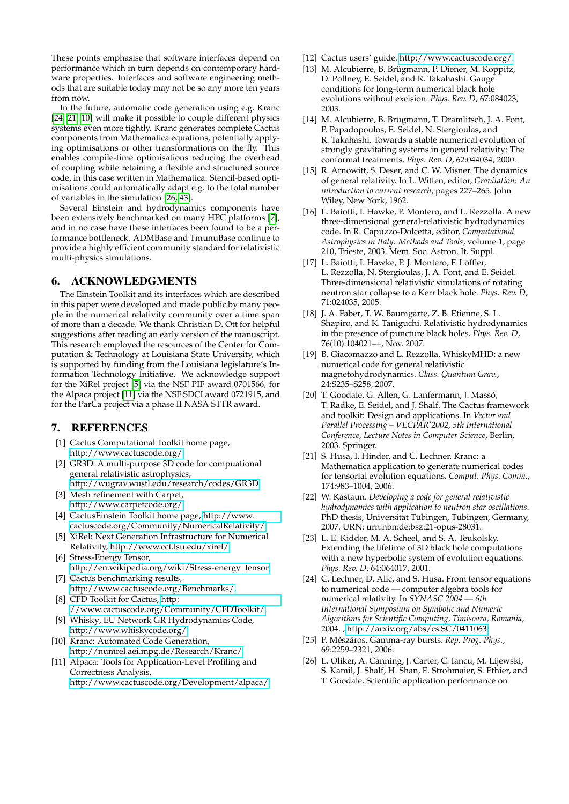These points emphasise that software interfaces depend on performance which in turn depends on contemporary hardware properties. Interfaces and software engineering methods that are suitable today may not be so any more ten years from now.

In the future, automatic code generation using e.g. Kranc [\[24,](#page-7-21) [21,](#page-7-22) [10\]](#page-7-23) will make it possible to couple different physics systems even more tightly. Kranc generates complete Cactus components from Mathematica equations, potentially applying optimisations or other transformations on the fly. This enables compile-time optimisations reducing the overhead of coupling while retaining a flexible and structured source code, in this case written in Mathematica. Stencil-based optimisations could automatically adapt e.g. to the total number of variables in the simulation [\[26,](#page-7-24) [43\]](#page-8-20).

Several Einstein and hydrodynamics components have been extensively benchmarked on many HPC platforms [\[7\]](#page-7-14), and in no case have these interfaces been found to be a performance bottleneck. ADMBase and TmunuBase continue to provide a highly efficient community standard for relativistic multi-physics simulations.

## 6. ACKNOWLEDGMENTS

The Einstein Toolkit and its interfaces which are described in this paper were developed and made public by many people in the numerical relativity community over a time span of more than a decade. We thank Christian D. Ott for helpful suggestions after reading an early version of the manuscript. This research employed the resources of the Center for Computation & Technology at Louisiana State University, which is supported by funding from the Louisiana legislature's Information Technology Initiative. We acknowledge support for the XiRel project [\[5\]](#page-7-12) via the NSF PIF award 0701566, for the Alpaca project [\[11\]](#page-7-25) via the NSF SDCI award 0721915, and for the ParCa project via a phase II NASA STTR award.

## 7. REFERENCES

- <span id="page-7-2"></span>[1] Cactus Computational Toolkit home page, [http://www.cactuscode.org/.](http://www.cactuscode.org/)
- <span id="page-7-3"></span>[2] GR3D: A multi-purpose 3D code for compuational general relativistic astrophysics,
- <span id="page-7-5"></span>[http://wugrav.wustl.edu/research/codes/GR3D.](http://wugrav.wustl.edu/research/codes/GR3D) [3] Mesh refinement with Carpet,
- [http://www.carpetcode.org/.](http://www.carpetcode.org/) [4] CactusEinstein Toolkit home page, [http://www.](http://www.cactuscode.org/Community/NumericalRelativity/)
- <span id="page-7-6"></span>[cactuscode.org/Community/NumericalRelativity/.](http://www.cactuscode.org/Community/NumericalRelativity/) [5] XiRel: Next Generation Infrastructure for Numerical
- <span id="page-7-12"></span>Relativity, [http://www.cct.lsu.edu/xirel/.](http://www.cct.lsu.edu/xirel/)
- <span id="page-7-13"></span>[6] Stress-Energy Tensor, [http://en.wikipedia.org/wiki/Stress-energy\\_tensor.](http://en.wikipedia.org/wiki/Stress-energy_tensor) [7] Cactus benchmarking results,
- <span id="page-7-14"></span>[http://www.cactuscode.org/Benchmarks/.](http://www.cactuscode.org/Benchmarks/) [8] CFD Toolkit for Cactus, [http:](http://www.cactuscode.org/Community/CFDToolkit/)
- <span id="page-7-20"></span>[//www.cactuscode.org/Community/CFDToolkit/.](http://www.cactuscode.org/Community/CFDToolkit/)
- <span id="page-7-19"></span>[9] Whisky, EU Network GR Hydrodynamics Code, [http://www.whiskycode.org/.](http://www.whiskycode.org/)
- <span id="page-7-23"></span>[10] Kranc: Automated Code Generation, [http://numrel.aei.mpg.de/Research/Kranc/.](http://numrel.aei.mpg.de/Research/Kranc/)
- <span id="page-7-25"></span>[11] Alpaca: Tools for Application-Level Profiling and Correctness Analysis, [http://www.cactuscode.org/Development/alpaca/.](http://www.cactuscode.org/Development/alpaca/)
- <span id="page-7-4"></span>[12] Cactus users' guide. [http://www.cactuscode.org/.](http://www.cactuscode.org/)
- <span id="page-7-9"></span>[13] M. Alcubierre, B. Brügmann, P. Diener, M. Koppitz, D. Pollney, E. Seidel, and R. Takahashi. Gauge conditions for long-term numerical black hole evolutions without excision. *Phys. Rev. D*, 67:084023, 2003.
- <span id="page-7-8"></span>[14] M. Alcubierre, B. Brügmann, T. Dramlitsch, J. A. Font, P. Papadopoulos, E. Seidel, N. Stergioulas, and R. Takahashi. Towards a stable numerical evolution of strongly gravitating systems in general relativity: The conformal treatments. *Phys. Rev. D*, 62:044034, 2000.
- <span id="page-7-7"></span>[15] R. Arnowitt, S. Deser, and C. W. Misner. The dynamics of general relativity. In L. Witten, editor, *Gravitation: An introduction to current research*, pages 227–265. John Wiley, New York, 1962.
- <span id="page-7-16"></span>[16] L. Baiotti, I. Hawke, P. Montero, and L. Rezzolla. A new three-dimensional general-relativistic hydrodynamics code. In R. Capuzzo-Dolcetta, editor, *Computational Astrophysics in Italy: Methods and Tools*, volume 1, page 210, Trieste, 2003. Mem. Soc. Astron. It. Suppl.
- <span id="page-7-18"></span>[17] L. Baiotti, I. Hawke, P. J. Montero, F. Löffler, L. Rezzolla, N. Stergioulas, J. A. Font, and E. Seidel. Three-dimensional relativistic simulations of rotating neutron star collapse to a Kerr black hole. *Phys. Rev. D*, 71:024035, 2005.
- <span id="page-7-11"></span>[18] J. A. Faber, T. W. Baumgarte, Z. B. Etienne, S. L. Shapiro, and K. Taniguchi. Relativistic hydrodynamics in the presence of puncture black holes. *Phys. Rev. D*, 76(10):104021–+, Nov. 2007.
- <span id="page-7-17"></span>[19] B. Giacomazzo and L. Rezzolla. WhiskyMHD: a new numerical code for general relativistic magnetohydrodynamics. *Class. Quantum Grav.*, 24:S235–S258, 2007.
- <span id="page-7-1"></span>[20] T. Goodale, G. Allen, G. Lanfermann, J. Massó, T. Radke, E. Seidel, and J. Shalf. The Cactus framework and toolkit: Design and applications. In *Vector and Parallel Processing – VECPAR'2002, 5th International Conference, Lecture Notes in Computer Science*, Berlin, 2003. Springer.
- <span id="page-7-22"></span>[21] S. Husa, I. Hinder, and C. Lechner. Kranc: a Mathematica application to generate numerical codes for tensorial evolution equations. *Comput. Phys. Comm.*, 174:983–1004, 2006.
- <span id="page-7-15"></span>[22] W. Kastaun. *Developing a code for general relativistic hydrodynamics with application to neutron star oscillations*. PhD thesis, Universität Tübingen, Tübingen, Germany, 2007. URN: urn:nbn:de:bsz:21-opus-28031.
- <span id="page-7-10"></span>[23] L. E. Kidder, M. A. Scheel, and S. A. Teukolsky. Extending the lifetime of 3D black hole computations with a new hyperbolic system of evolution equations. *Phys. Rev. D*, 64:064017, 2001.
- <span id="page-7-21"></span>[24] C. Lechner, D. Alic, and S. Husa. From tensor equations to numerical code — computer algebra tools for numerical relativity. In *SYNASC 2004 — 6th International Symposium on Symbolic and Numeric Algorithms for Scientific Computing, Timisoara, Romania*, 2004. , [http://arxiv.org/abs/cs.SC/0411063.](http://arxiv.org/abs/cs.SC/0411063)
- <span id="page-7-0"></span>[25] P. Mészáros. Gamma-ray bursts. *Rep. Prog. Phys.*, 69:2259–2321, 2006.
- <span id="page-7-24"></span>[26] L. Oliker, A. Canning, J. Carter, C. Iancu, M. Lijewski, S. Kamil, J. Shalf, H. Shan, E. Strohmaier, S. Ethier, and T. Goodale. Scientific application performance on